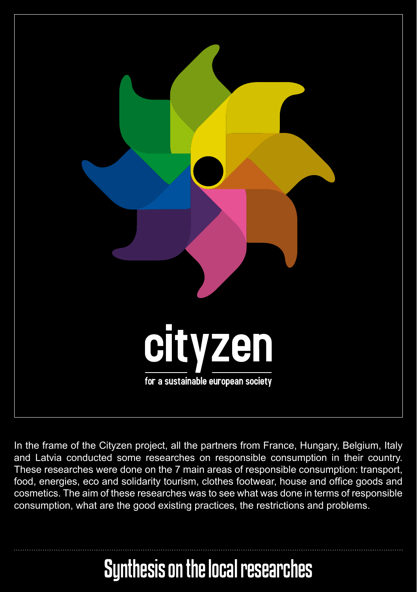

In the frame of the Cityzen project, all the partners from France, Hungary, Belgium, Italy and Latvia conducted some researches on responsible consumption in their country. These researches were done on the 7 main areas of responsible consumption: transport, food, energies, eco and solidarity tourism, clothes footwear, house and office goods and cosmetics. The aim of these researches was to see what was done in terms of responsible consumption, what are the good existing practices, the restrictions and problems.

# Synthesis on the local researches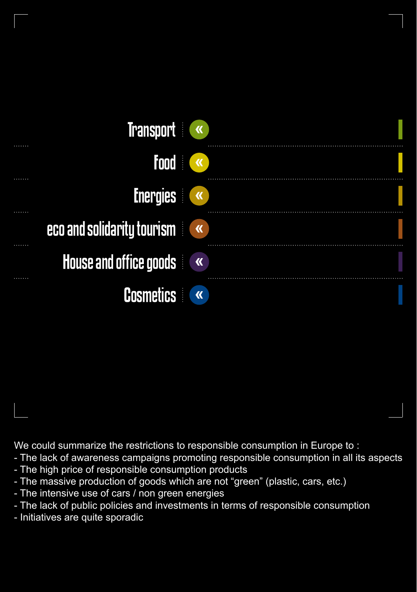| <b>Transport</b>           |                         |
|----------------------------|-------------------------|
| <b>Food</b>                | $\mathbf{K}$            |
| <b>Energies</b>            |                         |
| eco and solidarity tourism |                         |
| House and office goods     |                         |
| <b>Cosmetics</b>           | $\overline{\mathbf{K}}$ |

We could summarize the restrictions to responsible consumption in Europe to :

- The lack of awareness campaigns promoting responsible consumption in all its aspects
- The high price of responsible consumption products
- The massive production of goods which are not "green" (plastic, cars, etc.)
- The intensive use of cars / non green energies
- The lack of public policies and investments in terms of responsible consumption
- Initiatives are quite sporadic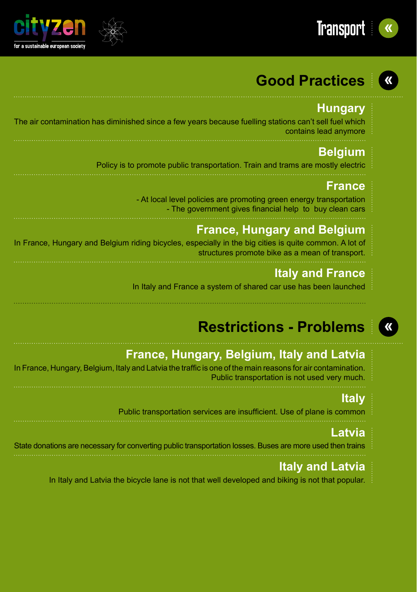



## **Hungary**

The air contamination has diminished since a few years because fuelling stations can't sell fuel which contains lead anymore

## **Belgium**

Policy is to promote public transportation. Train and trams are mostly electric

#### **France**

- At local level policies are promoting green energy transportation - The government gives financial help to buy clean cars

## **France, Hungary and Belgium**

In France, Hungary and Belgium riding bicycles, especially in the big cities is quite common. A lot of structures promote bike as a mean of transport.

## **Italy and France**

In Italy and France a system of shared car use has been launched

# **Restrictions - Problems**

## **France, Hungary, Belgium, Italy and Latvia**

In France, Hungary, Belgium, Italy and Latvia the traffic is one of the main reasons for air contamination. Public transportation is not used very much.

#### **Italy**

Public transportation services are insufficient. Use of plane is common

#### **Latvia**

State donations are necessary for converting public transportation losses. Buses are more used then trains

## **Italy and Latvia**

In Italy and Latvia the bicycle lane is not that well developed and biking is not that popular.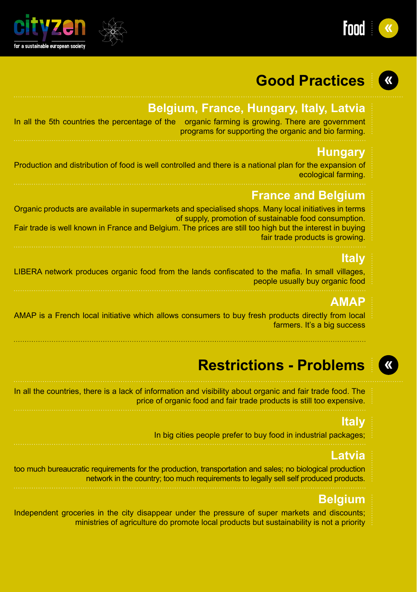



## **Belgium, France, Hungary, Italy, Latvia**

| In all the 5th countries the percentage of the organic farming is growing. There are government |
|-------------------------------------------------------------------------------------------------|
| programs for supporting the organic and bio farming.                                            |

#### **Hungary**

Production and distribution of food is well controlled and there is a national plan for the expansion of ecological farming.

#### **France and Belgium**

Organic products are available in supermarkets and specialised shops. Many local initiatives in terms of supply, promotion of sustainable food consumption. Fair trade is well known in France and Belgium. The prices are still too high but the interest in buying

fair trade products is growing.

#### **Italy**

LIBERA network produces organic food from the lands confiscated to the mafia. In small villages, people usually buy organic food

#### **AMAP**

AMAP is a French local initiative which allows consumers to buy fresh products directly from local farmers. It's a big success

## **Restrictions - Problems**

In all the countries, there is a lack of information and visibility about organic and fair trade food. The price of organic food and fair trade products is still too expensive.

#### **Italy**

In big cities people prefer to buy food in industrial packages;

#### **Latvia**

too much bureaucratic requirements for the production, transportation and sales; no biological production network in the country; too much requirements to legally sell self produced products.

#### **Belgium**

Independent groceries in the city disappear under the pressure of super markets and discounts; ministries of agriculture do promote local products but sustainability is not a priority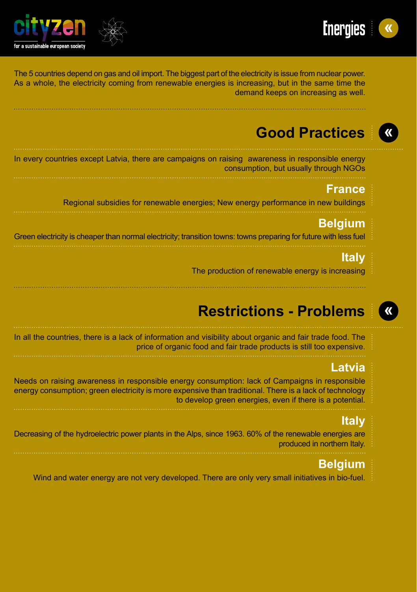



The 5 countries depend on gas and oil import. The biggest part of the electricity is issue from nuclear power. As a whole, the electricity coming from renewable energies is increasing, but in the same time the demand keeps on increasing as well.

## **Good Practices**

In every countries except Latvia, there are campaigns on raising awareness in responsible energy consumption, but usually through NGOs

#### **France**

Regional subsidies for renewable energies; New energy performance in new buildings

#### **Belgium**

Green electricity is cheaper than normal electricity; transition towns: towns preparing for future with less fuel

#### **Italy**

The production of renewable energy is increasing

# **Restrictions - Problems**

In all the countries, there is a lack of information and visibility about organic and fair trade food. The price of organic food and fair trade products is still too expensive.

#### **Latvia**

Needs on raising awareness in responsible energy consumption: lack of Campaigns in responsible energy consumption; green electricity is more expensive than traditional. There is a lack of technology to develop green energies, even if there is a potential.

#### **Italy**

Decreasing of the hydroelectric power plants in the Alps, since 1963. 60% of the renewable energies are produced in northern Italy.

## **Belgium**

Wind and water energy are not very developed. There are only very small initiatives in bio-fuel.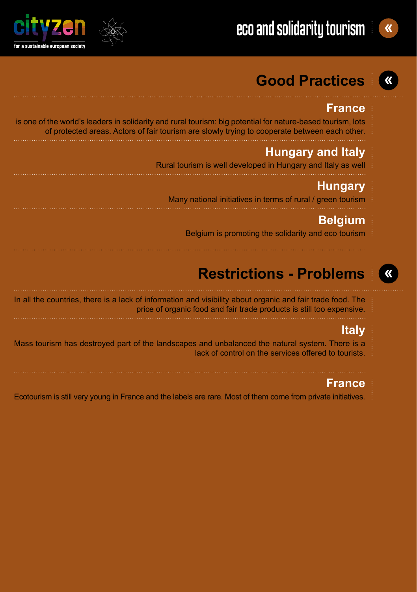



#### **France**

 is one of the world's leaders in solidarity and rural tourism: big potential for nature-based tourism, lots of protected areas. Actors of fair tourism are slowly trying to cooperate between each other.

### **Hungary and Italy**

Rural tourism is well developed in Hungary and Italy as well

### **Hungary**

Many national initiatives in terms of rural / green tourism

#### **Belgium**

Belgium is promoting the solidarity and eco tourism

# **Restrictions - Problems**

In all the countries, there is a lack of information and visibility about organic and fair trade food. The price of organic food and fair trade products is still too expensive.

#### **Italy**

Mass tourism has destroyed part of the landscapes and unbalanced the natural system. There is a lack of control on the services offered to tourists.

#### **France**

Ecotourism is still very young in France and the labels are rare. Most of them come from private initiatives.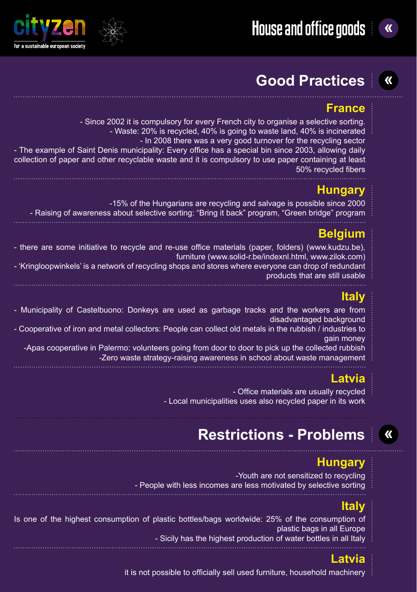

#### **France**

- Since 2002 it is compulsory for every French city to organise a selective sorting.
	- Waste: 20% is recycled, 40% is going to waste land, 40% is incinerated
- In 2008 there was a very good turnover for the recycling sector - The example of Saint Denis municipality: Every office has a special bin since 2003, allowing daily collection of paper and other recyclable waste and it is compulsory to use paper containing at least 50% recycled fibers

## **Hungary**

- -15% of the Hungarians are recycling and salvage is possible since 2000
- Raising of awareness about selective sorting: "Bring it back" program, "Green bridge" program

#### **Belgium**

- there are some initiative to recycle and re-use office materials (paper, folders) (www.kudzu.be), furniture (www.solid-r.be/indexnl.html, www.zilok.com)

- 'Kringloopwinkels' is a network of recycling shops and stores where everyone can drop of redundant products that are still usable

#### **Italy**

- Municipality of Castelbuono: Donkeys are used as garbage tracks and the workers are from disadvantaged background

- Cooperative of iron and metal collectors: People can collect old metals in the rubbish / industries to gain money

-Apas cooperative in Palermo: volunteers going from door to door to pick up the collected rubbish -Zero waste strategy-raising awareness in school about waste management

## **Latvia**

- Office materials are usually recycled - Local municipalities uses also recycled paper in its work

# **Restrictions - Problems**

#### **Hungary**

 -Youth are not sensitized to recycling - People with less incomes are less motivated by selective sorting

#### **Italy**

Is one of the highest consumption of plastic bottles/bags worldwide: 25% of the consumption of plastic bags in all Europe - Sicily has the highest production of water bottles in all Italy

## **Latvia**

it is not possible to officially sell used furniture, household machinery